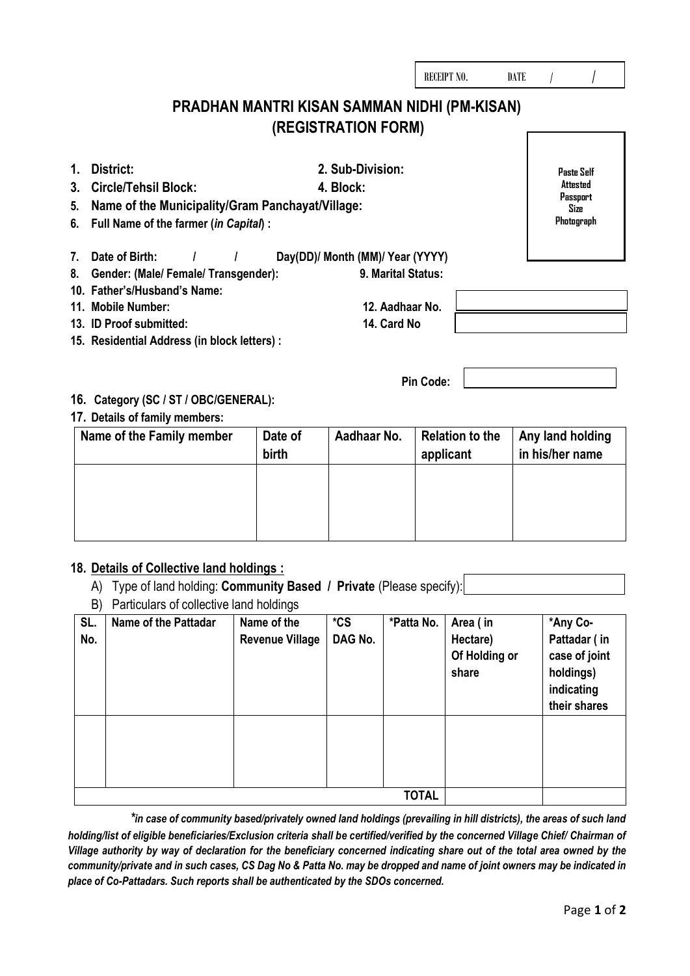|                                                                                                                                                                                                     | PRADHAN MANTRI KISAN SAMMAN NIDHI (PM-KISAN)<br>(REGISTRATION FORM)                      |                                                                        |
|-----------------------------------------------------------------------------------------------------------------------------------------------------------------------------------------------------|------------------------------------------------------------------------------------------|------------------------------------------------------------------------|
| District:<br>1.<br><b>Circle/Tehsil Block:</b><br>3.<br>Name of the Municipality/Gram Panchayat/Village:<br>5.<br>Full Name of the farmer (in Capital) :<br>6.                                      | 2. Sub-Division:<br>4. Block:                                                            | <b>Paste Self</b><br>Attested<br>Passport<br><b>Size</b><br>Photograph |
| Date of Birth:<br>7.<br>Gender: (Male/ Female/ Transgender):<br>8.<br>10. Father's/Husband's Name:<br>11. Mobile Number:<br>13. ID Proof submitted:<br>15. Residential Address (in block letters) : | Day(DD)/ Month (MM)/ Year (YYYY)<br>9. Marital Status:<br>12. Aadhaar No.<br>14. Card No |                                                                        |
| 16. Category (SC / ST / OBC/GENERAL):<br>17. Details of family members:                                                                                                                             | Pin Code:                                                                                |                                                                        |

RECEIPT NO. DATE /

# Name of the Family member | Date of **birth**  Aadhaar No. **Relation to the applicant Any land holding in his/her name**

## **18. Details of Collective land holdings :**

- A) Type of land holding: **Community Based / Private** (Please specify):
- B) Particulars of collective land holdings

| SL.<br>No. | <b>Name of the Pattadar</b> | Name of the<br><b>Revenue Village</b> | $*$ CS<br>DAG No. | *Patta No.   | Area (in<br>Hectare)<br>Of Holding or<br>share | *Any Co-<br>Pattadar (in<br>case of joint<br>holdings)<br>indicating<br>their shares |
|------------|-----------------------------|---------------------------------------|-------------------|--------------|------------------------------------------------|--------------------------------------------------------------------------------------|
|            |                             |                                       |                   |              |                                                |                                                                                      |
|            |                             |                                       |                   | <b>TOTAL</b> |                                                |                                                                                      |

*\*in case of community based/privately owned land holdings (prevailing in hill districts), the areas of such land holding/list of eligible beneficiaries/Exclusion criteria shall be certified/verified by the concerned Village Chief/ Chairman of Village authority by way of declaration for the beneficiary concerned indicating share out of the total area owned by the community/private and in such cases, CS Dag No & Patta No. may be dropped and name of joint owners may be indicated in place of Co-Pattadars. Such reports shall be authenticated by the SDOs concerned.*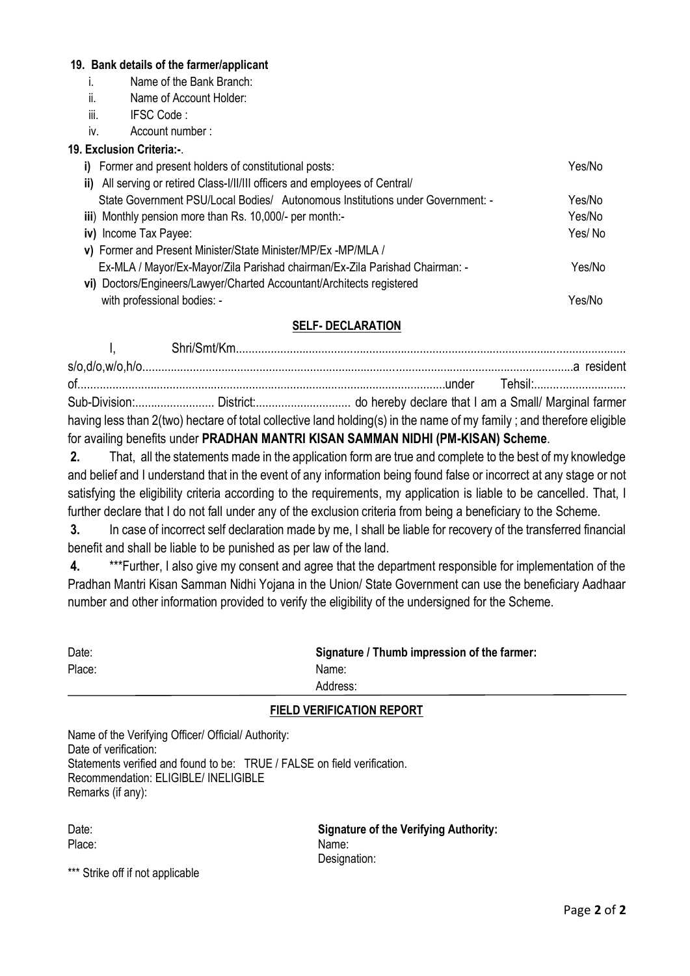#### **19. Bank details of the farmer/applicant**

- i. Name of the Bank Branch:
- ii. Name of Account Holder:
- iii. IFSC Code :
- iv. Account number :

### **19. Exclusion Criteria:-**.

| i) Former and present holders of constitutional posts:                         | Yes/No |
|--------------------------------------------------------------------------------|--------|
| ii) All serving or retired Class-I/II/III officers and employees of Central/   |        |
| State Government PSU/Local Bodies/ Autonomous Institutions under Government: - | Yes/No |
| iii) Monthly pension more than Rs. 10,000/- per month:-                        | Yes/No |
| iv) Income Tax Payee:                                                          | Yes/No |
| v) Former and Present Minister/State Minister/MP/Ex -MP/MLA /                  |        |
| Ex-MLA / Mayor/Ex-Mayor/Zila Parishad chairman/Ex-Zila Parishad Chairman: -    | Yes/No |
| vi) Doctors/Engineers/Lawyer/Charted Accountant/Architects registered          |        |
| with professional bodies: -                                                    | Yes/No |

### **SELF- DECLARATION**

I, Shri/Smt/Km........................................................................................................................... s/o,d/o,w/o,h/o........................................................................................................................................a resident of....................................................................................................................under Tehsil:............................. Sub-Division:......................... District:.............................. do hereby declare that I am a Small/ Marginal farmer having less than 2(two) hectare of total collective land holding(s) in the name of my family; and therefore eligible for availing benefits under **PRADHAN MANTRI KISAN SAMMAN NIDHI (PM-KISAN) Scheme**.

**2.** That, all the statements made in the application form are true and complete to the best of my knowledge and belief and I understand that in the event of any information being found false or incorrect at any stage or not satisfying the eligibility criteria according to the requirements, my application is liable to be cancelled. That, I further declare that I do not fall under any of the exclusion criteria from being a beneficiary to the Scheme.

**3.** In case of incorrect self declaration made by me, I shall be liable for recovery of the transferred financial benefit and shall be liable to be punished as per law of the land.

**4.** \*\*\*Further, I also give my consent and agree that the department responsible for implementation of the Pradhan Mantri Kisan Samman Nidhi Yojana in the Union/ State Government can use the beneficiary Aadhaar number and other information provided to verify the eligibility of the undersigned for the Scheme.

| Date:  | Signature / Thumb impression of the farmer: |
|--------|---------------------------------------------|
| Place: | Name:                                       |
|        | Address:                                    |

### **FIELD VERIFICATION REPORT**

| Name of the Verifying Officer/ Official/ Authority:                      |
|--------------------------------------------------------------------------|
| Date of verification:                                                    |
| Statements verified and found to be: TRUE / FALSE on field verification. |
| Recommendation: ELIGIBLE/ INELIGIBLE                                     |
| Remarks (if any):                                                        |

| Date:  |  |
|--------|--|
| Place: |  |

**Signature of the Verifying Authority:** Place: Name: Name: Name: Name: Name: Name: Name: Name: Name: Name: Name: Name: Name: Name: Name: Name: Name: Name: Name: Name: Name: Name:  $\mathbb{R}$ Designation:

\*\*\* Strike off if not applicable